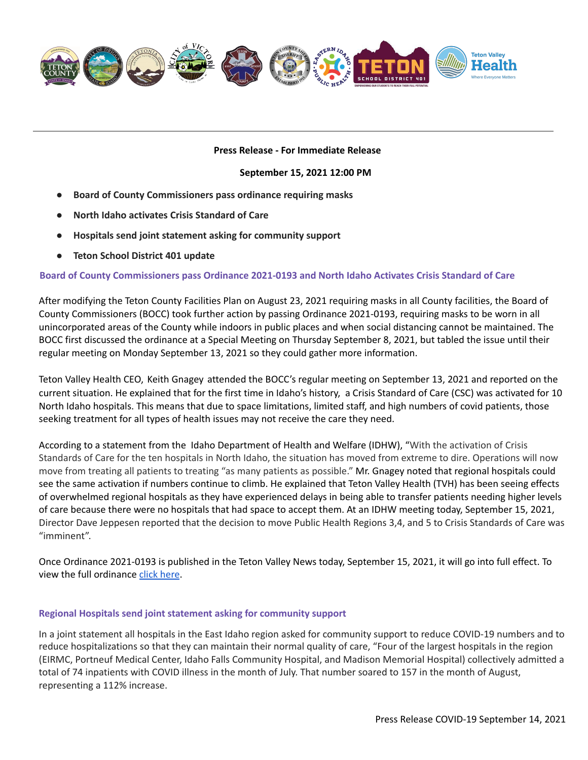

## **Press Release - For Immediate Release**

#### **September 15, 2021 12:00 PM**

- **● Board of County Commissioners pass ordinance requiring masks**
- **● North Idaho activates Crisis Standard of Care**
- **● Hospitals send joint statement asking for community support**
- **● Teton School District 401 update**

## **Board of County Commissioners pass Ordinance 2021-0193 and North Idaho Activates Crisis Standard of Care**

After modifying the Teton County Facilities Plan on August 23, 2021 requiring masks in all County facilities, the Board of County Commissioners (BOCC) took further action by passing Ordinance 2021-0193, requiring masks to be worn in all unincorporated areas of the County while indoors in public places and when social distancing cannot be maintained. The BOCC first discussed the ordinance at a Special Meeting on Thursday September 8, 2021, but tabled the issue until their regular meeting on Monday September 13, 2021 so they could gather more information.

Teton Valley Health CEO, Keith [Gnagey](mailto:kgnagey@tvhcare.org) attended the BOCC's regular meeting on September 13, 2021 and reported on the current situation. He explained that for the first time in Idaho's history, a Crisis Standard of Care (CSC) was activated for 10 North Idaho hospitals. This means that due to space limitations, limited staff, and high numbers of covid patients, those seeking treatment for all types of health issues may not receive the care they need.

According to a statement from the Idaho Department of Health and Welfare (IDHW), "With the activation of Crisis Standards of Care for the ten hospitals in North Idaho, the situation has moved from extreme to dire. Operations will now move from treating all patients to treating "as many patients as possible." Mr. Gnagey noted that regional hospitals could see the same activation if numbers continue to climb. He explained that Teton Valley Health (TVH) has been seeing effects of overwhelmed regional hospitals as they have experienced delays in being able to transfer patients needing higher levels of care because there were no hospitals that had space to accept them. At an IDHW meeting today, September 15, 2021, Director Dave Jeppesen reported that the decision to move Public Health Regions 3,4, and 5 to Crisis Standards of Care was "imminent".

Once Ordinance 2021-0193 is published in the Teton Valley News today, September 15, 2021, it will go into full effect. To view the full ordinance click [here](https://www.tetoncountyidaho.gov/use_images/covid-19emergencyordinance(facecoveringsrequired9-13-2021).pdf).

#### **Regional Hospitals send joint statement asking for community support**

In a joint statement all hospitals in the East Idaho region asked for community support to reduce COVID-19 numbers and to reduce hospitalizations so that they can maintain their normal quality of care, "Four of the largest hospitals in the region (EIRMC, Portneuf Medical Center, Idaho Falls Community Hospital, and Madison Memorial Hospital) collectively admitted a total of 74 inpatients with COVID illness in the month of July. That number soared to 157 in the month of August, representing a 112% increase.